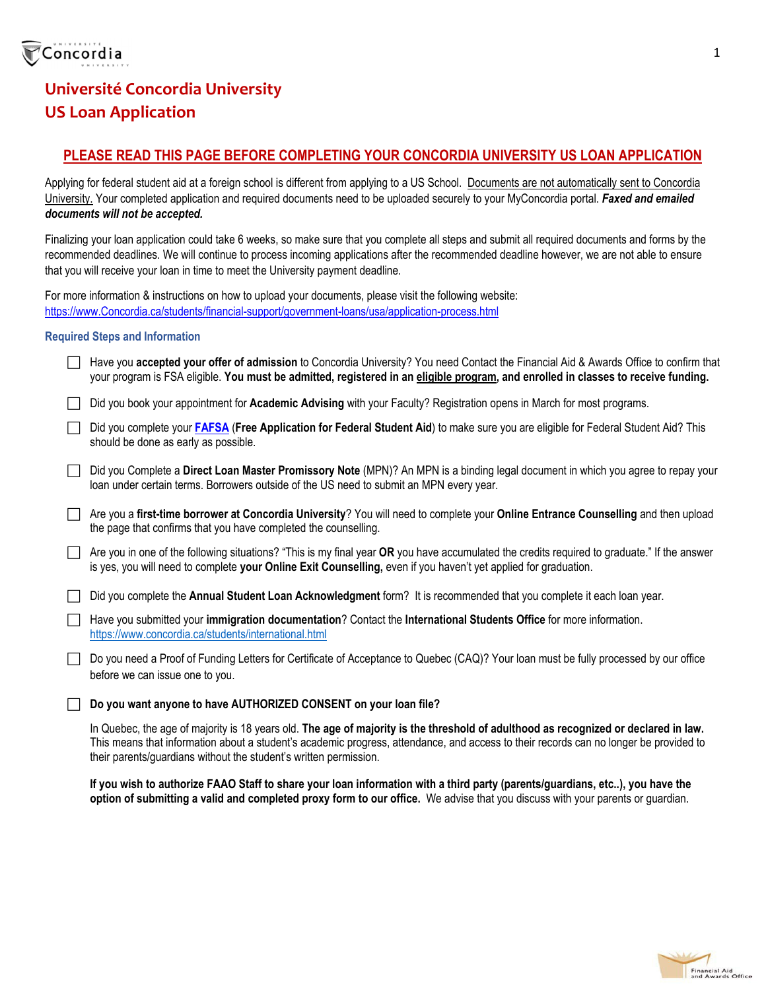

## **Université Concordia University US Loan Application**

#### **PLEASE READ THIS PAGE BEFORE COMPLETING YOUR CONCORDIA UNIVERSITY US LOAN APPLICATION**

Applying for federal student aid at a foreign school is different from applying to a US School. Documents are not automatically sent to Concordia University. Your completed application and required documents need to be uploaded securely to your MyConcordia portal. *Faxed and emailed documents will not be accepted.* 

Finalizing your loan application could take 6 weeks, so make sure that you complete all steps and submit all required documents and forms by the recommended deadlines. We will continue to process incoming applications after the recommended deadline however, we are not able to ensure that you will receive your loan in time to meet the University payment deadline.

For more information & instructions on how to upload your documents, please visit the following website: https://www.Concordia.ca/students/financial-support/government-loans/usa/application-process.html

#### **Required Steps and Information**

 Have you **accepted your offer of admission** to Concordia University? You need Contact the Financial Aid & Awards Office to confirm that your program is FSA eligible. **You must be admitted, registered in an eligible program, and enrolled in classes to receive funding.** 

Did you book your appointment for **Academic Advising** with your Faculty? Registration opens in March for most programs.

- Did you complete your **FAFSA** (**Free Application for Federal Student Aid**) to make sure you are eligible for Federal Student Aid? This should be done as early as possible.
- Did you Complete a **Direct Loan Master Promissory Note** (MPN)? An MPN is a binding legal document in which you agree to repay your loan under certain terms. Borrowers outside of the US need to submit an MPN every year.
- Are you a **first-time borrower at Concordia University**? You will need to complete your **Online Entrance Counselling** and then upload the page that confirms that you have completed the counselling.
- Are you in one of the following situations? "This is my final year **OR** you have accumulated the credits required to graduate." If the answer is yes, you will need to complete **your Online Exit Counselling,** even if you haven't yet applied for graduation.
- Did you complete the **Annual Student Loan Acknowledgment** form? It is recommended that you complete it each loan year.
- Have you submitted your **immigration documentation**? Contact the **International Students Office** for more information. https://www.concordia.ca/students/international.html
- □ Do you need a Proof of Funding Letters for Certificate of Acceptance to Quebec (CAQ)? Your loan must be fully processed by our office before we can issue one to you.
- **Do you want anyone to have AUTHORIZED CONSENT on your loan file?**

In Quebec, the age of majority is 18 years old. **The age of majority is the threshold of adulthood as recognized or declared in law.** This means that information about a student's academic progress, attendance, and access to their records can no longer be provided to their parents/guardians without the student's written permission.

**If you wish to authorize FAAO Staff to share your loan information with a third party (parents/guardians, etc..), you have the option of submitting a valid and completed proxy form to our office.** We advise that you discuss with your parents or guardian.



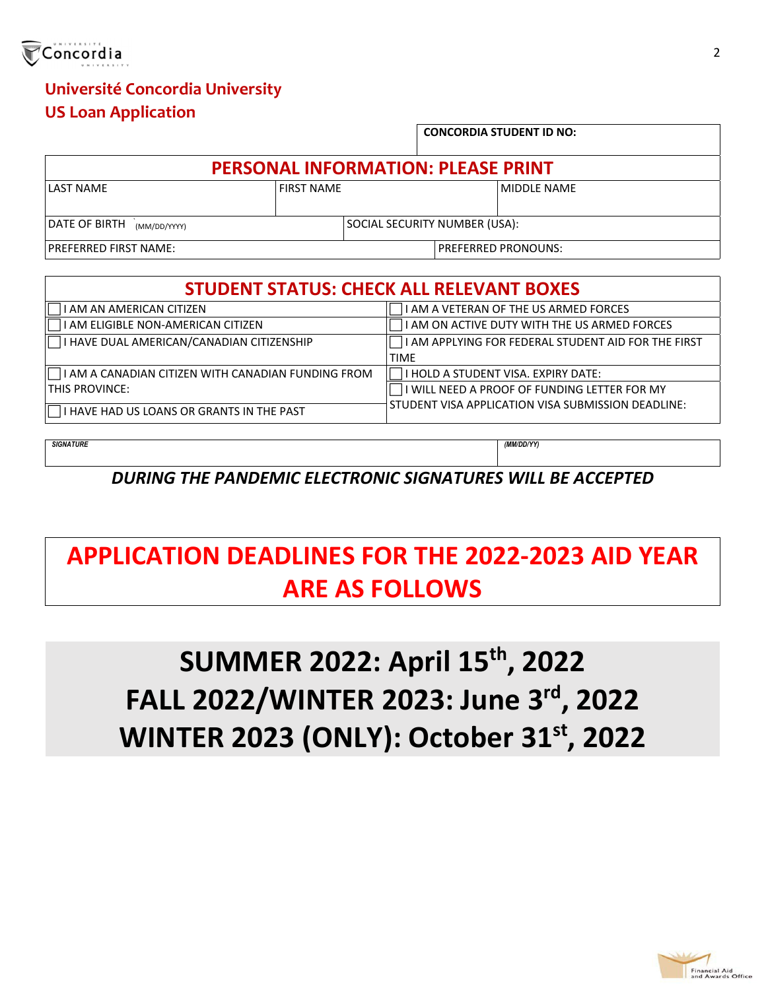

## **Université Concordia University US Loan Application**

|                                           |  |                               |  |  | <b>CONCORDIA STUDENT ID NO:</b> |  |
|-------------------------------------------|--|-------------------------------|--|--|---------------------------------|--|
| <b>PERSONAL INFORMATION: PLEASE PRINT</b> |  |                               |  |  |                                 |  |
| LAST NAME                                 |  | <b>FIRST NAMF</b>             |  |  | MIDDI F NAMF                    |  |
| DATE OF BIRTH (MM/DD/YYYY)                |  | SOCIAL SECURITY NUMBER (USA): |  |  |                                 |  |
| <b>PREFERRED FIRST NAME:</b>              |  |                               |  |  | PREFERRED PRONOUNS:             |  |

| <b>STUDENT STATUS: CHECK ALL RELEVANT BOXES</b>    |                                                                                            |  |  |  |  |
|----------------------------------------------------|--------------------------------------------------------------------------------------------|--|--|--|--|
| AM AN AMERICAN CITIZEN                             | I AM A VETERAN OF THE US ARMED FORCES                                                      |  |  |  |  |
| I AM ELIGIBLE NON-AMERICAN CITIZEN                 | I AM ON ACTIVE DUTY WITH THE US ARMED FORCES                                               |  |  |  |  |
| I HAVE DUAL AMERICAN/CANADIAN CITIZENSHIP          | $\overline{\phantom{a}}$ I AM APPLYING FOR FEDERAL STUDENT AID FOR THE FIRST               |  |  |  |  |
|                                                    | <b>TIME</b>                                                                                |  |  |  |  |
| I AM A CANADIAN CITIZEN WITH CANADIAN FUNDING FROM | <b>I HOLD A STUDENT VISA. EXPIRY DATE:</b><br>I WILL NEED A PROOF OF FUNDING LETTER FOR MY |  |  |  |  |
| THIS PROVINCE:                                     |                                                                                            |  |  |  |  |
| I HAVE HAD US LOANS OR GRANTS IN THE PAST          | STUDENT VISA APPLICATION VISA SUBMISSION DEADLINE:                                         |  |  |  |  |

*SIGNATURE (MM/DD/YY)* 

*DURING THE PANDEMIC ELECTRONIC SIGNATURES WILL BE ACCEPTED*

# **APPLICATION DEADLINES FOR THE 2022‐2023 AID YEAR ARE AS FOLLOWS**

# **SUMMER 2022: April 15th , 2022 FALL 2022/WINTER 2023: June 3rd , 2022 WINTER 2023 (ONLY): October 31st , 2022**

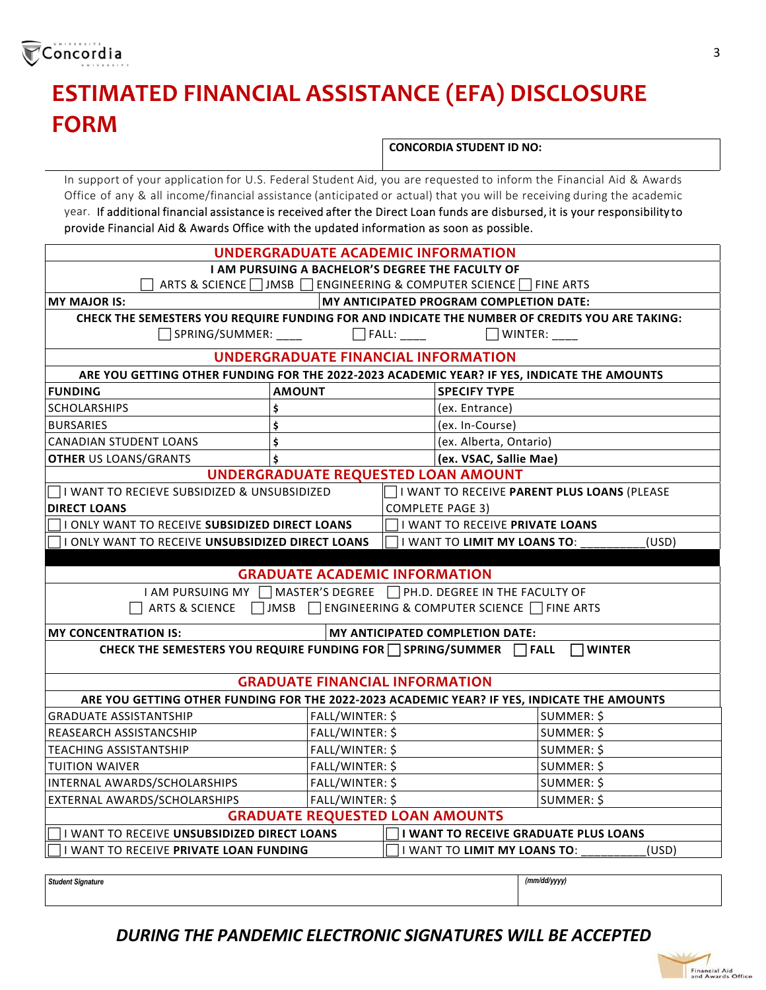

# **ESTIMATED FINANCIAL ASSISTANCE (EFA) DISCLOSURE FORM**

**CONCORDIA STUDENT ID NO:**

In support of your application for U.S. Federal Student Aid, you are requested to inform the Financial Aid & Awards Office of any & all income/financial assistance (anticipated or actual) that you will be receiving during the academic year. If additional financial assistance is received after the Direct Loan funds are disbursed, it is your responsibility to provide Financial Aid & Awards Office with the updated information as soon as possible.

| <b>UNDERGRADUATE ACADEMIC INFORMATION</b>                                                      |                                                  |                  |                                             |              |  |
|------------------------------------------------------------------------------------------------|--------------------------------------------------|------------------|---------------------------------------------|--------------|--|
|                                                                                                | I AM PURSUING A BACHELOR'S DEGREE THE FACULTY OF |                  |                                             |              |  |
| ARTS & SCIENCE   JMSB   ENGINEERING & COMPUTER SCIENCE   FINE ARTS                             |                                                  |                  |                                             |              |  |
| <b>MY MAJOR IS:</b>                                                                            |                                                  |                  | MY ANTICIPATED PROGRAM COMPLETION DATE:     |              |  |
| CHECK THE SEMESTERS YOU REQUIRE FUNDING FOR AND INDICATE THE NUMBER OF CREDITS YOU ARE TAKING: |                                                  |                  |                                             |              |  |
| SPRING/SUMMER: ____                                                                            |                                                  | □ FALL: ____     | $\Box$ WINTER: ____                         |              |  |
|                                                                                                | <b>UNDERGRADUATE FINANCIAL INFORMATION</b>       |                  |                                             |              |  |
| ARE YOU GETTING OTHER FUNDING FOR THE 2022-2023 ACADEMIC YEAR? IF YES, INDICATE THE AMOUNTS    |                                                  |                  |                                             |              |  |
| <b>FUNDING</b><br><b>AMOUNT</b><br><b>SPECIFY TYPE</b>                                         |                                                  |                  |                                             |              |  |
| <b>SCHOLARSHIPS</b>                                                                            | \$                                               |                  | (ex. Entrance)                              |              |  |
| <b>BURSARIES</b>                                                                               | \$                                               |                  | (ex. In-Course)                             |              |  |
| <b>CANADIAN STUDENT LOANS</b>                                                                  | \$                                               |                  | (ex. Alberta, Ontario)                      |              |  |
| <b>OTHER US LOANS/GRANTS</b>                                                                   | \$                                               |                  | (ex. VSAC, Sallie Mae)                      |              |  |
|                                                                                                | UNDERGRADUATE REQUESTED LOAN AMOUNT              |                  |                                             |              |  |
| I WANT TO RECIEVE SUBSIDIZED & UNSUBSIDIZED                                                    |                                                  |                  | I WANT TO RECEIVE PARENT PLUS LOANS (PLEASE |              |  |
| <b>DIRECT LOANS</b>                                                                            |                                                  | COMPLETE PAGE 3) |                                             |              |  |
| I ONLY WANT TO RECEIVE SUBSIDIZED DIRECT LOANS                                                 |                                                  |                  | I WANT TO RECEIVE PRIVATE LOANS             |              |  |
| I ONLY WANT TO RECEIVE UNSUBSIDIZED DIRECT LOANS                                               |                                                  |                  | I WANT TO LIMIT MY LOANS TO:                | (USD)        |  |
|                                                                                                |                                                  |                  |                                             |              |  |
|                                                                                                | <b>GRADUATE ACADEMIC INFORMATION</b>             |                  |                                             |              |  |
| I AM PURSUING MY   MASTER'S DEGREE   PH.D. DEGREE IN THE FACULTY OF                            |                                                  |                  |                                             |              |  |
| ARTS & SCIENCE   JMSB   ENGINEERING & COMPUTER SCIENCE   FINE ARTS                             |                                                  |                  |                                             |              |  |
| <b>MY CONCENTRATION IS:</b>                                                                    |                                                  |                  | MY ANTICIPATED COMPLETION DATE:             |              |  |
| CHECK THE SEMESTERS YOU REQUIRE FUNDING FOR □ SPRING/SUMMER □ FALL<br><b>I</b> I WINTER        |                                                  |                  |                                             |              |  |
|                                                                                                |                                                  |                  |                                             |              |  |
|                                                                                                | <b>GRADUATE FINANCIAL INFORMATION</b>            |                  |                                             |              |  |
| ARE YOU GETTING OTHER FUNDING FOR THE 2022-2023 ACADEMIC YEAR? IF YES, INDICATE THE AMOUNTS    |                                                  |                  |                                             |              |  |
| <b>GRADUATE ASSISTANTSHIP</b>                                                                  | FALL/WINTER: \$                                  |                  |                                             | SUMMER: \$   |  |
| REASEARCH ASSISTANCSHIP                                                                        | FALL/WINTER: \$                                  |                  |                                             | SUMMER: \$   |  |
| <b>TEACHING ASSISTANTSHIP</b>                                                                  | FALL/WINTER: \$                                  |                  |                                             | SUMMER: \$   |  |
| <b>TUITION WAIVER</b>                                                                          | FALL/WINTER: \$                                  |                  |                                             | SUMMER: \$   |  |
| INTERNAL AWARDS/SCHOLARSHIPS                                                                   | FALL/WINTER: \$                                  |                  |                                             | SUMMER: \$   |  |
| FALL/WINTER: \$<br>EXTERNAL AWARDS/SCHOLARSHIPS                                                |                                                  |                  |                                             | SUMMER: \$   |  |
| <b>GRADUATE REQUESTED LOAN AMOUNTS</b>                                                         |                                                  |                  |                                             |              |  |
| I WANT TO RECEIVE UNSUBSIDIZED DIRECT LOANS<br>I I WANT TO RECEIVE GRADUATE PLUS LOANS         |                                                  |                  |                                             |              |  |
| I WANT TO RECEIVE PRIVATE LOAN FUNDING<br>I WANT TO LIMIT MY LOANS TO:<br>(USD)                |                                                  |                  |                                             |              |  |
|                                                                                                |                                                  |                  |                                             |              |  |
| <b>Student Signature</b>                                                                       |                                                  |                  |                                             | (mm/dd/yyyy) |  |

### *DURING THE PANDEMIC ELECTRONIC SIGNATURES WILL BE ACCEPTED*

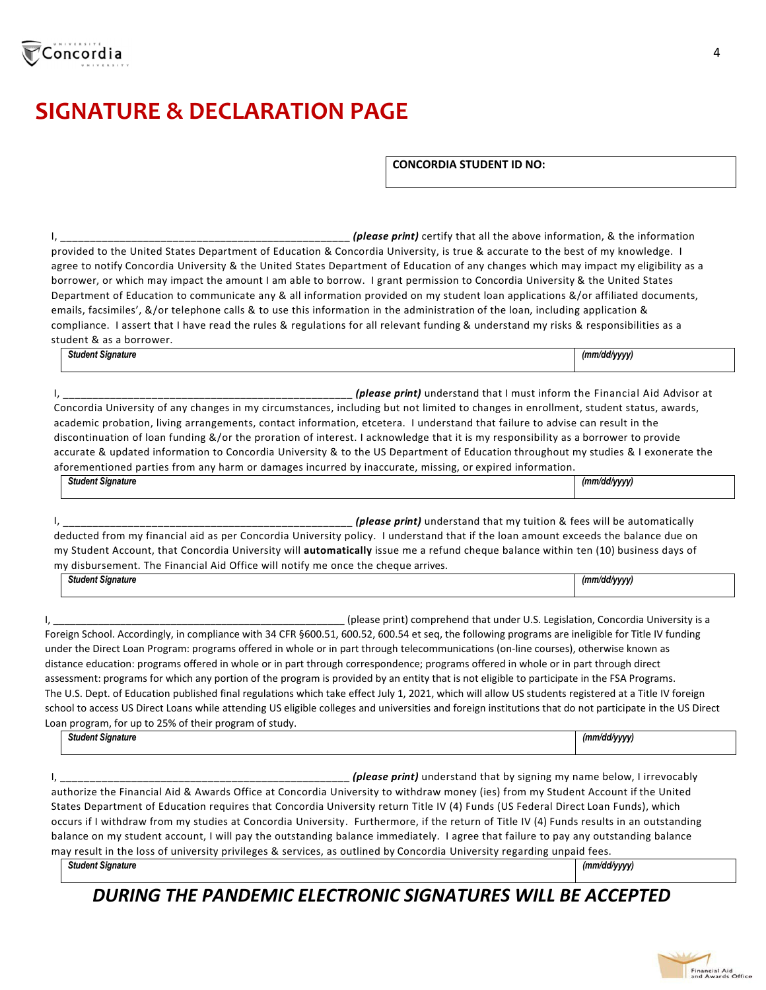

mu Student Actountersity will automatically is that Concordia University will automatically

| <b>Student Signature</b>                                                                                                                  | (mm/dd/vvvv) |
|-------------------------------------------------------------------------------------------------------------------------------------------|--------------|
| my disbursement. The Financial Aid Office will notify me once the cheque arrives.                                                         |              |
| my Student Account, that Concordia University Will <b>automatically</b> issue me a refund cheque balance Within ten (10) business days of |              |

I, \_\_\_\_\_\_\_\_\_\_\_\_\_\_\_\_\_\_\_\_\_\_\_\_\_\_\_\_\_\_\_\_\_\_\_\_\_\_\_\_\_\_\_\_\_\_\_\_\_\_\_\_ (please print) comprehend that under U.S. Legislation, Concordia University is a Foreign School. Accordingly, in compliance with 34 CFR §600.51, 600.52, 600.54 et seq, the following programs are ineligible for Title IV funding under the Direct Loan Program: programs offered in whole or in part through telecommunications (on‐line courses), otherwise known as distance education: programs offered in whole or in part through correspondence; programs offered in whole or in part through direct assessment: programs for which any portion of the program is provided by an entity that is not eligible to participate in the FSA Programs. The U.S. Dept. of Education published final regulations which take effect July 1, 2021, which will allow US students registered at a Title IV foreign school to access US Direct Loans while attending US eligible colleges and universities and foreign institutions that do not participate in the US Direct Loan program, for up to 25% of their program of study.

*Student Signature (mm/dd/yyyy)* 

I, \_\_\_\_\_\_\_\_\_\_\_\_\_\_\_\_\_\_\_\_\_\_\_\_\_\_\_\_\_\_\_\_\_\_\_\_\_\_\_\_\_\_\_\_\_\_\_\_\_ *(please print)* understand that by signing my name below, I irrevocably authorize the Financial Aid & Awards Office at Concordia University to withdraw money (ies) from my Student Account if the United States Department of Education requires that Concordia University return Title IV (4) Funds (US Federal Direct Loan Funds), which occurs if I withdraw from my studies at Concordia University. Furthermore, if the return of Title IV (4) Funds results in an outstanding balance on my student account, I will pay the outstanding balance immediately. I agree that failure to pay any outstanding balance may result in the loss of university privileges & services, as outlined by Concordia University regarding unpaid fees.

*Student Signature (mm/dd/yyyy)* 

## *DURING THE PANDEMIC ELECTRONIC SIGNATURES WILL BE ACCEPTED*

**CONCORDIA STUDENT ID NO:**

I, \_\_\_\_\_\_\_\_\_\_\_\_\_\_\_\_\_\_\_\_\_\_\_\_\_\_\_\_\_\_\_\_\_\_\_\_\_\_\_\_\_\_\_\_\_\_\_\_\_ *(please print)* certify that all the above information, & the information provided to the United States Department of Education & Concordia University, is true & accurate to the best of my knowledge. I agree to notify Concordia University & the United States Department of Education of any changes which may impact my eligibility as a borrower, or which may impact the amount I am able to borrow. I grant permission to Concordia University & the United States Department of Education to communicate any & all information provided on my student loan applications &/or affiliated documents, emails, facsimiles', &/or telephone calls & to use this information in the administration of the loan, including application &

compliance. I assert that I have read the rules & regulations for all relevant funding & understand my risks & responsibilities as a student & as a borrower. *Student Signature (mm/dd/yyyy)* 

I, \_\_\_\_\_\_\_\_\_\_\_\_\_\_\_\_\_\_\_\_\_\_\_\_\_\_\_\_\_\_\_\_\_\_\_\_\_\_\_\_\_\_\_\_\_\_\_\_\_ *(please print)* understand that I must inform the Financial Aid Advisor at Concordia University of any changes in my circumstances, including but not limited to changes in enrollment, student status, awards, academic probation, living arrangements, contact information, etcetera. I understand that failure to advise can result in the discontinuation of loan funding &/or the proration of interest. I acknowledge that it is my responsibility as a borrower to provide accurate & updated information to Concordia University & to the US Department of Education throughout my studies & I exonerate the aforementioned parties from any harm or damages incurred by inaccurate, missing, or expired information.

*Student Signature (mm/dd/yyyy)* 

deducted from my financial aid as per Concordia University policy. I understand that if the loan amount exceeds the balance due on<br>my Student Asseunt, that Concordia University will automotically issue me a refund change w

*Student Signature (mm/dd/yyyy)* 

I, \_\_\_\_\_\_\_\_\_\_\_\_\_\_\_\_\_\_\_\_\_\_\_\_\_\_\_\_\_\_\_\_\_\_\_\_\_\_\_\_\_\_\_\_\_\_\_\_\_ *(please print)* understand that my tuition & fees will be automatically

| .<br>ature<br>. | , תו<br>,,,,, |
|-----------------|---------------|
|                 |               |

**SIGNATURE & DECLARATION PAGE**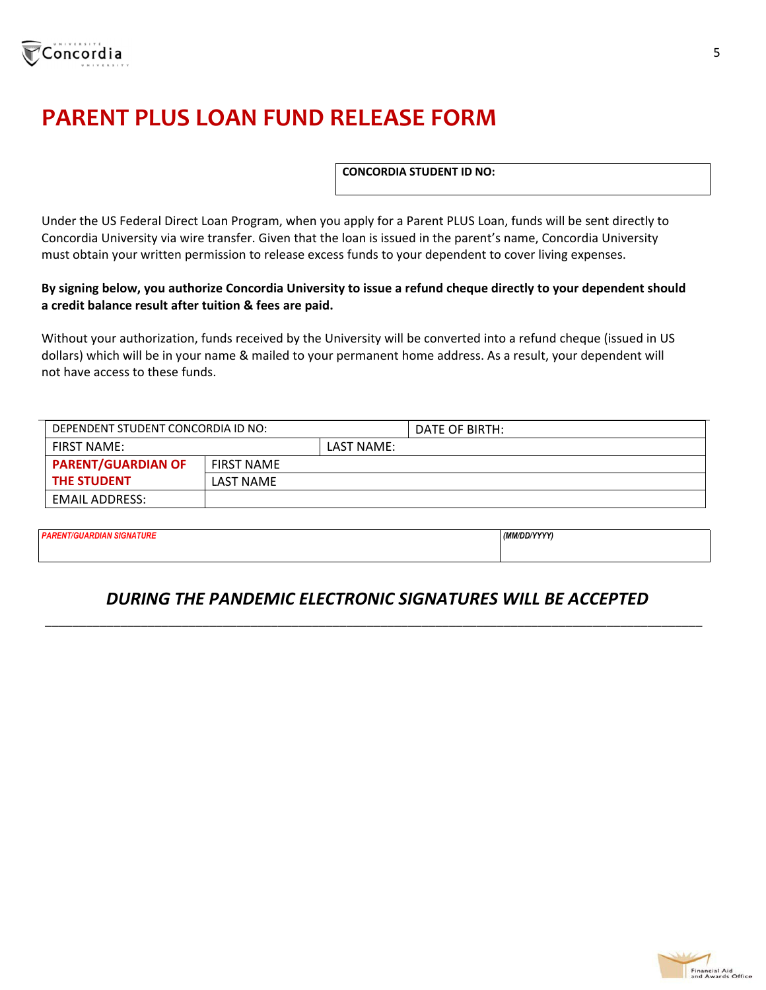

# **PARENT PLUS LOAN FUND RELEASE FORM**

**CONCORDIA STUDENT ID NO:**

Under the US Federal Direct Loan Program, when you apply for a Parent PLUS Loan, funds will be sent directly to Concordia University via wire transfer. Given that the loan is issued in the parent's name, Concordia University must obtain your written permission to release excess funds to your dependent to cover living expenses.

#### By signing below, you authorize Concordia University to issue a refund cheque directly to your dependent should **a credit balance result after tuition & fees are paid.**

Without your authorization, funds received by the University will be converted into a refund cheque (issued in US dollars) which will be in your name & mailed to your permanent home address. As a result, your dependent will not have access to these funds.

| DEPENDENT STUDENT CONCORDIA ID NO: |                   |            | DATE OF BIRTH: |
|------------------------------------|-------------------|------------|----------------|
| <b>FIRST NAME:</b>                 |                   | LAST NAME: |                |
| <b>PARENT/GUARDIAN OF</b>          | <b>FIRST NAME</b> |            |                |
| <b>THE STUDENT</b>                 | LAST NAME         |            |                |
| EMAIL ADDRESS:                     |                   |            |                |

*PARENT/GUARDIAN SIGNATURE (MM/DD/YYYY)* 

### *DURING THE PANDEMIC ELECTRONIC SIGNATURES WILL BE ACCEPTED*

\_\_\_\_\_\_\_\_\_\_\_\_\_\_\_\_\_\_\_\_\_\_\_\_\_\_\_\_\_\_\_\_\_\_\_\_\_\_\_\_\_\_\_\_\_\_\_\_\_\_\_\_\_\_\_\_\_\_\_\_\_\_\_\_\_\_\_\_\_\_\_\_\_\_\_\_\_\_\_\_\_\_\_\_\_\_\_\_\_\_\_\_\_\_\_\_